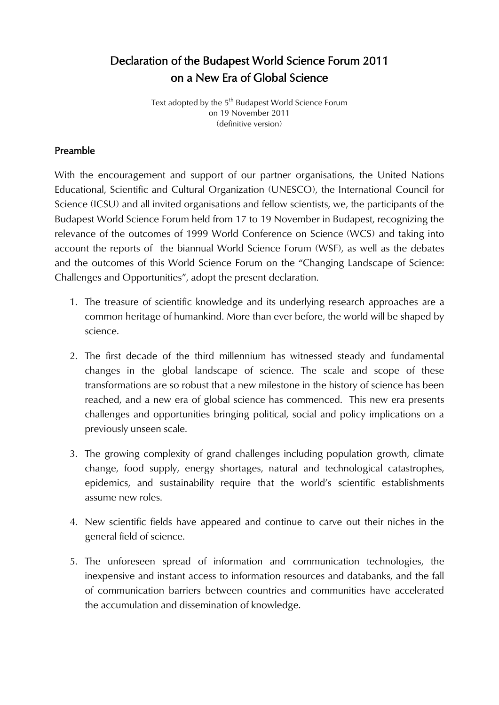# Declaration of the Budapest World Science Forum 2011 on a New Era of Global Science

Text adopted by the  $5<sup>th</sup>$  Budapest World Science Forum on 19 November 2011 (definitive version)

#### Preamble

With the encouragement and support of our partner organisations, the United Nations Educational, Scientific and Cultural Organization (UNESCO), the International Council for Science (ICSU) and all invited organisations and fellow scientists, we, the participants of the Budapest World Science Forum held from 17 to 19 November in Budapest, recognizing the relevance of the outcomes of 1999 World Conference on Science (WCS) and taking into account the reports of the biannual World Science Forum (WSF), as well as the debates and the outcomes of this World Science Forum on the "Changing Landscape of Science: Challenges and Opportunities", adopt the present declaration.

- 1. The treasure of scientific knowledge and its underlying research approaches are a common heritage of humankind. More than ever before, the world will be shaped by science.
- 2. The first decade of the third millennium has witnessed steady and fundamental changes in the global landscape of science. The scale and scope of these transformations are so robust that a new milestone in the history of science has been reached, and a new era of global science has commenced. This new era presents challenges and opportunities bringing political, social and policy implications on a previously unseen scale.
- 3. The growing complexity of grand challenges including population growth, climate change, food supply, energy shortages, natural and technological catastrophes, epidemics, and sustainability require that the world's scientific establishments assume new roles.
- 4. New scientific fields have appeared and continue to carve out their niches in the general field of science.
- 5. The unforeseen spread of information and communication technologies, the inexpensive and instant access to information resources and databanks, and the fall of communication barriers between countries and communities have accelerated the accumulation and dissemination of knowledge.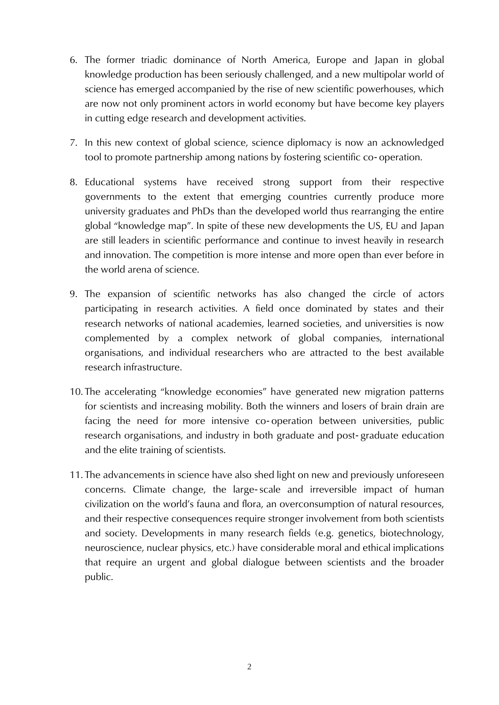- 6. The former triadic dominance of North America, Europe and Japan in global knowledge production has been seriously challenged, and a new multipolar world of science has emerged accompanied by the rise of new scientific powerhouses, which are now not only prominent actors in world economy but have become key players in cutting edge research and development activities.
- 7. In this new context of global science, science diplomacy is now an acknowledged tool to promote partnership among nations by fostering scientific co- operation.
- 8. Educational systems have received strong support from their respective governments to the extent that emerging countries currently produce more university graduates and PhDs than the developed world thus rearranging the entire global "knowledge map". In spite of these new developments the US, EU and Japan are still leaders in scientific performance and continue to invest heavily in research and innovation. The competition is more intense and more open than ever before in the world arena of science.
- 9. The expansion of scientific networks has also changed the circle of actors participating in research activities. A field once dominated by states and their research networks of national academies, learned societies, and universities is now complemented by a complex network of global companies, international organisations, and individual researchers who are attracted to the best available research infrastructure.
- 10. The accelerating "knowledge economies" have generated new migration patterns for scientists and increasing mobility. Both the winners and losers of brain drain are facing the need for more intensive co- operation between universities, public research organisations, and industry in both graduate and post- graduate education and the elite training of scientists.
- 11. The advancements in science have also shed light on new and previously unforeseen concerns. Climate change, the large-scale and irreversible impact of human civilization on the world's fauna and flora, an overconsumption of natural resources, and their respective consequences require stronger involvement from both scientists and society. Developments in many research fields (e.g. genetics, biotechnology, neuroscience, nuclear physics, etc.) have considerable moral and ethical implications that require an urgent and global dialogue between scientists and the broader public.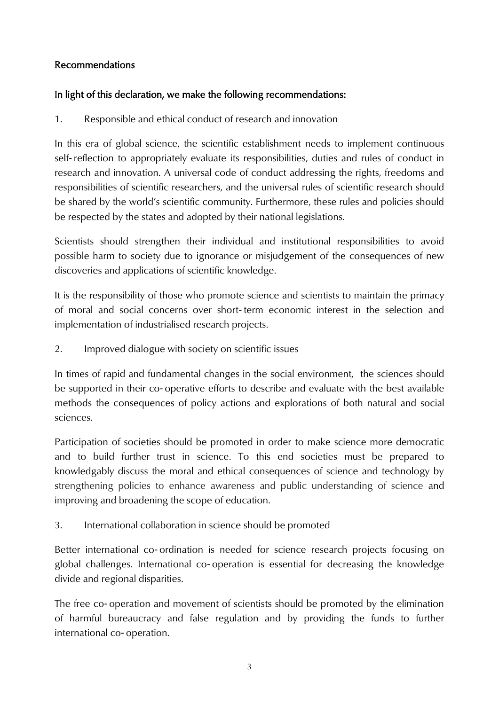### Recommendations

# In light of this declaration, we make the following recommendations:

1. Responsible and ethical conduct of research and innovation

In this era of global science, the scientific establishment needs to implement continuous self- reflection to appropriately evaluate its responsibilities, duties and rules of conduct in research and innovation. A universal code of conduct addressing the rights, freedoms and responsibilities of scientific researchers, and the universal rules of scientific research should be shared by the world's scientific community. Furthermore, these rules and policies should be respected by the states and adopted by their national legislations.

Scientists should strengthen their individual and institutional responsibilities to avoid possible harm to society due to ignorance or misjudgement of the consequences of new discoveries and applications of scientific knowledge.

It is the responsibility of those who promote science and scientists to maintain the primacy of moral and social concerns over short- term economic interest in the selection and implementation of industrialised research projects.

2. Improved dialogue with society on scientific issues

In times of rapid and fundamental changes in the social environment, the sciences should be supported in their co- operative efforts to describe and evaluate with the best available methods the consequences of policy actions and explorations of both natural and social sciences.

Participation of societies should be promoted in order to make science more democratic and to build further trust in science. To this end societies must be prepared to knowledgably discuss the moral and ethical consequences of science and technology by strengthening policies to enhance awareness and public understanding of science and improving and broadening the scope of education.

3. International collaboration in science should be promoted

Better international co- ordination is needed for science research projects focusing on global challenges. International co- operation is essential for decreasing the knowledge divide and regional disparities.

The free co- operation and movement of scientists should be promoted by the elimination of harmful bureaucracy and false regulation and by providing the funds to further international co- operation.